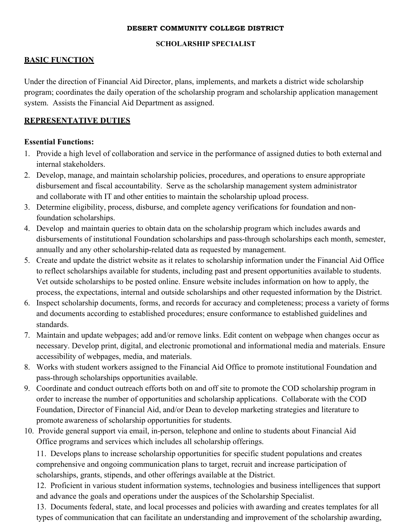#### **DESERT COMMUNITY COLLEGE DISTRICT**

#### **SCHOLARSHIP SPECIALIST**

### **BASIC FUNCTION**

Under the direction of Financial Aid Director, plans, implements, and markets a district wide scholarship program; coordinates the daily operation of the scholarship program and scholarship application management system. Assists the Financial Aid Department as assigned.

### **REPRESENTATIVE DUTIES**

### **Essential Functions:**

- 1. Provide a high level of collaboration and service in the performance of assigned duties to both external and internal stakeholders.
- 2. Develop, manage, and maintain scholarship policies, procedures, and operations to ensure appropriate disbursement and fiscal accountability. Serve as the scholarship management system administrator and collaborate with IT and other entities to maintain the scholarship upload process.
- 3. Determine eligibility, process, disburse, and complete agency verifications for foundation and nonfoundation scholarships.
- 4. Develop and maintain queries to obtain data on the scholarship program which includes awards and disbursements of institutional Foundation scholarships and pass-through scholarships each month, semester, annually and any other scholarship-related data as requested by management.
- 5. Create and update the district website as it relates to scholarship information under the Financial Aid Office to reflect scholarships available for students, including past and present opportunities available to students. Vet outside scholarships to be posted online. Ensure website includes information on how to apply, the process, the expectations, internal and outside scholarships and other requested information by the District.
- 6. Inspect scholarship documents, forms, and records for accuracy and completeness; process a variety of forms and documents according to established procedures; ensure conformance to established guidelines and standards.
- 7. Maintain and update webpages; add and/or remove links. Edit content on webpage when changes occur as necessary. Develop print, digital, and electronic promotional and informational media and materials. Ensure accessibility of webpages, media, and materials.
- 8. Works with student workers assigned to the Financial Aid Office to promote institutional Foundation and pass-through scholarships opportunities available.
- 9. Coordinate and conduct outreach efforts both on and off site to promote the COD scholarship program in order to increase the number of opportunities and scholarship applications. Collaborate with the COD Foundation, Director of Financial Aid, and/or Dean to develop marketing strategies and literature to promote awareness of scholarship opportunities for students.
- 10. Provide general support via email, in-person, telephone and online to students about Financial Aid Office programs and services which includes all scholarship offerings.

11. Develops plans to increase scholarship opportunities for specific student populations and creates comprehensive and ongoing communication plans to target, recruit and increase participation of scholarships, grants, stipends, and other offerings available at the District.

12. Proficient in various student information systems, technologies and business intelligences that support and advance the goals and operations under the auspices of the Scholarship Specialist.

13. Documents federal, state, and local processes and policies with awarding and creates templates for all types of communication that can facilitate an understanding and improvement of the scholarship awarding,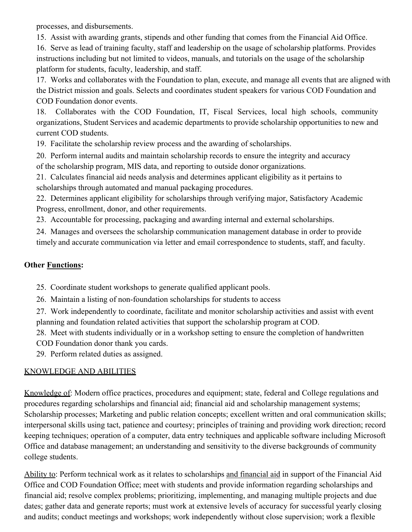processes, and disbursements.

15. Assist with awarding grants, stipends and other funding that comes from the Financial Aid Office. 16. Serve as lead of training faculty, staff and leadership on the usage of scholarship platforms. Provides instructions including but not limited to videos, manuals, and tutorials on the usage of the scholarship platform for students, faculty, leadership, and staff.

17. Works and collaborates with the Foundation to plan, execute, and manage all events that are aligned with the District mission and goals. Selects and coordinates student speakers for various COD Foundation and COD Foundation donor events.

18. Collaborates with the COD Foundation, IT, Fiscal Services, local high schools, community organizations, Student Services and academic departments to provide scholarship opportunities to new and current COD students.

19. Facilitate the scholarship review process and the awarding of scholarships.

20. Perform internal audits and maintain scholarship records to ensure the integrity and accuracy of the scholarship program, MIS data, and reporting to outside donor organizations.

21. Calculates financial aid needs analysis and determines applicant eligibility as it pertains to scholarships through automated and manual packaging procedures.

22. Determines applicant eligibility for scholarships through verifying major, Satisfactory Academic Progress, enrollment, donor, and other requirements.

23. Accountable for processing, packaging and awarding internal and external scholarships.

24. Manages and oversees the scholarship communication management database in order to provide timely and accurate communication via letter and email correspondence to students, staff, and faculty.

# **Other Functions:**

25. Coordinate student workshops to generate qualified applicant pools.

26. Maintain a listing of non-foundation scholarships for students to access

27. Work independently to coordinate, facilitate and monitor scholarship activities and assist with event planning and foundation related activities that support the scholarship program at COD.

28. Meet with students individually or in a workshop setting to ensure the completion of handwritten COD Foundation donor thank you cards.

29. Perform related duties as assigned.

# KNOWLEDGE AND ABILITIES

Knowledge of: Modern office practices, procedures and equipment; state, federal and College regulations and procedures regarding scholarships and financial aid; financial aid and scholarship management systems; Scholarship processes; Marketing and public relation concepts; excellent written and oral communication skills; interpersonal skills using tact, patience and courtesy; principles of training and providing work direction; record keeping techniques; operation of a computer, data entry techniques and applicable software including Microsoft Office and database management; an understanding and sensitivity to the diverse backgrounds of community college students.

Ability to: Perform technical work as it relates to scholarships and financial aid in support of the Financial Aid Office and COD Foundation Office; meet with students and provide information regarding scholarships and financial aid; resolve complex problems; prioritizing, implementing, and managing multiple projects and due dates; gather data and generate reports; must work at extensive levels of accuracy for successful yearly closing and audits; conduct meetings and workshops; work independently without close supervision; work a flexible